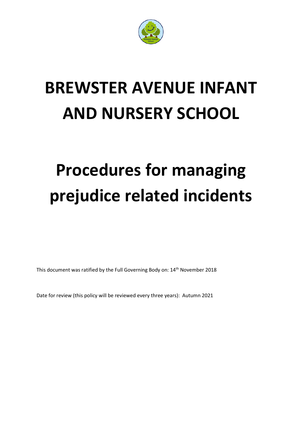

# **BREWSTER AVENUE INFANT AND NURSERY SCHOOL**

# **Procedures for managing prejudice related incidents**

This document was ratified by the Full Governing Body on: 14th November 2018

Date for review (this policy will be reviewed every three years): Autumn 2021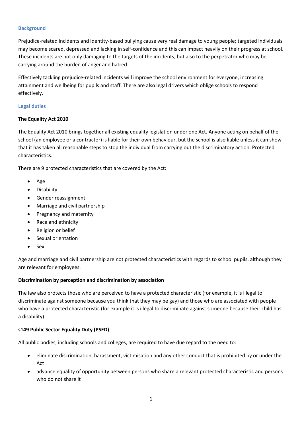#### **Background**

Prejudice-related incidents and identity-based bullying cause very real damage to young people; targeted individuals may become scared, depressed and lacking in self-confidence and this can impact heavily on their progress at school. These incidents are not only damaging to the targets of the incidents, but also to the perpetrator who may be carrying around the burden of anger and hatred.

Effectively tackling prejudice-related incidents will improve the school environment for everyone, increasing attainment and wellbeing for pupils and staff. There are also legal drivers which oblige schools to respond effectively.

#### **Legal duties**

# **The Equality Act 2010**

The Equality Act 2010 brings together all existing equality legislation under one Act. Anyone acting on behalf of the school (an employee or a contractor) is liable for their own behaviour, but the school is also liable unless it can show that it has taken all reasonable steps to stop the individual from carrying out the discriminatory action. Protected characteristics.

There are 9 protected characteristics that are covered by the Act:

- Age
- **•** Disability
- Gender reassignment
- Marriage and civil partnership
- Pregnancy and maternity
- Race and ethnicity
- Religion or belief
- Sexual orientation
- Sex

Age and marriage and civil partnership are not protected characteristics with regards to school pupils, although they are relevant for employees.

#### **Discrimination by perception and discrimination by association**

The law also protects those who are perceived to have a protected characteristic (for example, it is illegal to discriminate against someone because you think that they may be gay) and those who are associated with people who have a protected characteristic (for example it is illegal to discriminate against someone because their child has a disability).

# **s149 Public Sector Equality Duty (PSED)**

All public bodies, including schools and colleges, are required to have due regard to the need to:

- eliminate discrimination, harassment, victimisation and any other conduct that is prohibited by or under the Act
- advance equality of opportunity between persons who share a relevant protected characteristic and persons who do not share it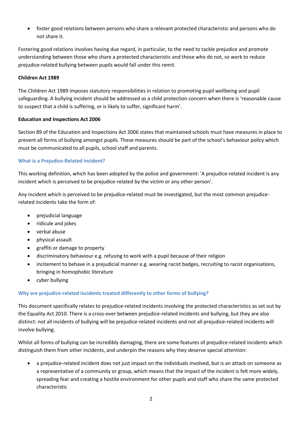foster good relations between persons who share a relevant protected characteristic and persons who do not share it.

Fostering good relations involves having due regard, in particular, to the need to tackle prejudice and promote understanding between those who share a protected characteristic and those who do not, so work to reduce prejudice-related bullying between pupils would fall under this remit.

# **Children Act 1989**

The Children Act 1989 imposes statutory responsibilities in relation to promoting pupil wellbeing and pupil safeguarding. A bullying incident should be addressed as a child protection concern when there is 'reasonable cause to suspect that a child is suffering, or is likely to suffer, significant harm'.

#### **Education and Inspections Act 2006**

Section 89 of the Education and Inspections Act 2006 states that maintained schools must have measures in place to prevent all forms of bullying amongst pupils. These measures should be part of the school's behaviour policy which must be communicated to all pupils, school staff and parents.

# **What is a Prejudice-Related Incident?**

This working definition, which has been adopted by the police and government: 'A prejudice-related incident is any incident which is perceived to be prejudice-related by the victim or any other person'.

Any incident which is perceived to be prejudice-related must be investigated, but the most common prejudicerelated incidents take the form of:

- prejudicial language
- ridicule and jokes
- verbal abuse
- physical assault
- graffiti or damage to property
- discriminatory behaviour e.g. refusing to work with a pupil because of their religion
- incitement to behave in a prejudicial manner e.g. wearing racist badges, recruiting to racist organisations, bringing in homophobic literature
- cyber bullying

# **Why are prejudice-related incidents treated differently to other forms of bullying?**

This document specifically relates to prejudice-related incidents involving the protected characteristics as set out by the Equality Act 2010. There is a cross-over between prejudice-related incidents and bullying, but they are also distinct: not all incidents of bullying will be prejudice-related incidents and not all prejudice-related incidents will involve bullying.

Whilst all forms of bullying can be incredibly damaging, there are some features of prejudice-related incidents which distinguish them from other incidents, and underpin the reasons why they deserve special attention:

 a prejudice-related incident does not just impact on the individuals involved, but is an attack on someone as a representative of a community or group, which means that the impact of the incident is felt more widely, spreading fear and creating a hostile environment for other pupils and staff who share the same protected characteristic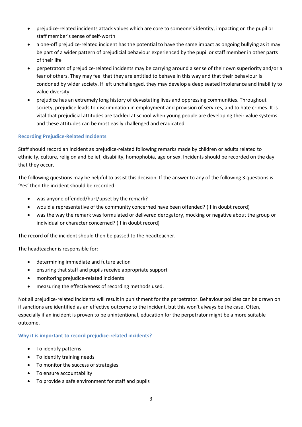- prejudice-related incidents attack values which are core to someone's identity, impacting on the pupil or staff member's sense of self-worth
- a one-off prejudice-related incident has the potential to have the same impact as ongoing bullying as it may be part of a wider pattern of prejudicial behaviour experienced by the pupil or staff member in other parts of their life
- perpetrators of prejudice-related incidents may be carrying around a sense of their own superiority and/or a fear of others. They may feel that they are entitled to behave in this way and that their behaviour is condoned by wider society. If left unchallenged, they may develop a deep seated intolerance and inability to value diversity
- prejudice has an extremely long history of devastating lives and oppressing communities. Throughout society, prejudice leads to discrimination in employment and provision of services, and to hate crimes. It is vital that prejudicial attitudes are tackled at school when young people are developing their value systems and these attitudes can be most easily challenged and eradicated.

# **Recording Prejudice-Related Incidents**

Staff should record an incident as prejudice-related following remarks made by children or adults related to ethnicity, culture, religion and belief, disability, homophobia, age or sex. Incidents should be recorded on the day that they occur.

The following questions may be helpful to assist this decision. If the answer to any of the following 3 questions is 'Yes' then the incident should be recorded:

- was anyone offended/hurt/upset by the remark?
- would a representative of the community concerned have been offended? (If in doubt record)
- was the way the remark was formulated or delivered derogatory, mocking or negative about the group or individual or character concerned? (If in doubt record)

The record of the incident should then be passed to the headteacher.

The headteacher is responsible for:

- determining immediate and future action
- ensuring that staff and pupils receive appropriate support
- monitoring prejudice-related incidents
- measuring the effectiveness of recording methods used.

Not all prejudice-related incidents will result in punishment for the perpetrator. Behaviour policies can be drawn on if sanctions are identified as an effective outcome to the incident, but this won't always be the case. Often, especially if an incident is proven to be unintentional, education for the perpetrator might be a more suitable outcome.

# **Why it is important to record prejudice-related incidents?**

- To identify patterns
- To identify training needs
- To monitor the success of strategies
- To ensure accountability
- To provide a safe environment for staff and pupils